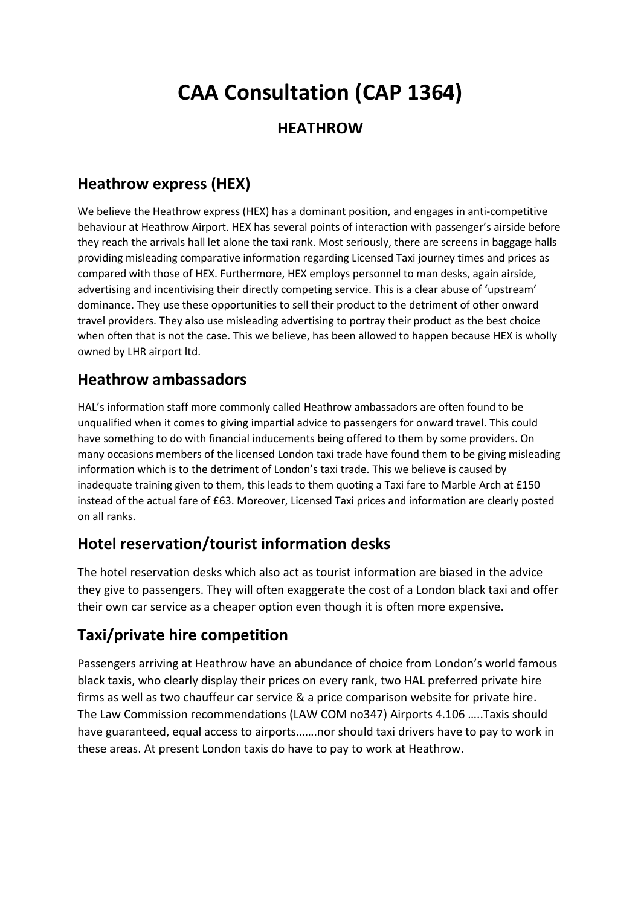# **CAA Consultation (CAP 1364)**

## **HEATHROW**

# **Heathrow express (HEX)**

We believe the Heathrow express (HEX) has a dominant position, and engages in anti-competitive behaviour at Heathrow Airport. HEX has several points of interaction with passenger's airside before they reach the arrivals hall let alone the taxi rank. Most seriously, there are screens in baggage halls providing misleading comparative information regarding Licensed Taxi journey times and prices as compared with those of HEX. Furthermore, HEX employs personnel to man desks, again airside, advertising and incentivising their directly competing service. This is a clear abuse of 'upstream' dominance. They use these opportunities to sell their product to the detriment of other onward travel providers. They also use misleading advertising to portray their product as the best choice when often that is not the case. This we believe, has been allowed to happen because HEX is wholly owned by LHR airport ltd.

### **Heathrow ambassadors**

HAL's information staff more commonly called Heathrow ambassadors are often found to be unqualified when it comes to giving impartial advice to passengers for onward travel. This could have something to do with financial inducements being offered to them by some providers. On many occasions members of the licensed London taxi trade have found them to be giving misleading information which is to the detriment of London's taxi trade. This we believe is caused by inadequate training given to them, this leads to them quoting a Taxi fare to Marble Arch at £150 instead of the actual fare of £63. Moreover, Licensed Taxi prices and information are clearly posted on all ranks.

# **Hotel reservation/tourist information desks**

The hotel reservation desks which also act as tourist information are biased in the advice they give to passengers. They will often exaggerate the cost of a London black taxi and offer their own car service as a cheaper option even though it is often more expensive.

# **Taxi/private hire competition**

Passengers arriving at Heathrow have an abundance of choice from London's world famous black taxis, who clearly display their prices on every rank, two HAL preferred private hire firms as well as two chauffeur car service & a price comparison website for private hire. The Law Commission recommendations (LAW COM no347) Airports 4.106 …..Taxis should have guaranteed, equal access to airports…….nor should taxi drivers have to pay to work in these areas. At present London taxis do have to pay to work at Heathrow.